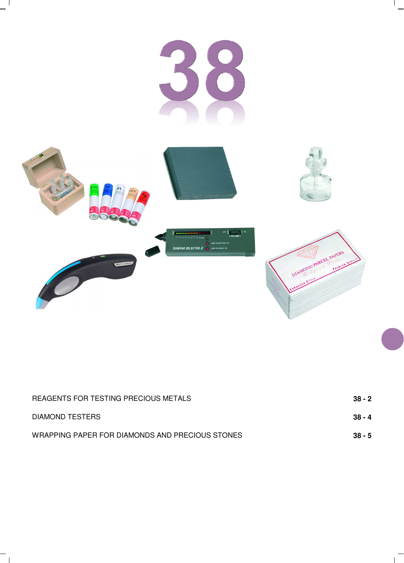

 $\frac{1}{\sqrt{2}}$ 

 $\overline{1}$ 

| REAGENTS FOR TESTING PRECIOUS METALS            | 38 - 2   |
|-------------------------------------------------|----------|
| DIAMOND TESTERS                                 | $38 - 4$ |
| WRAPPING PAPER FOR DIAMONDS AND PRECIOUS STONES | $38 - 5$ |

 $\overline{a}$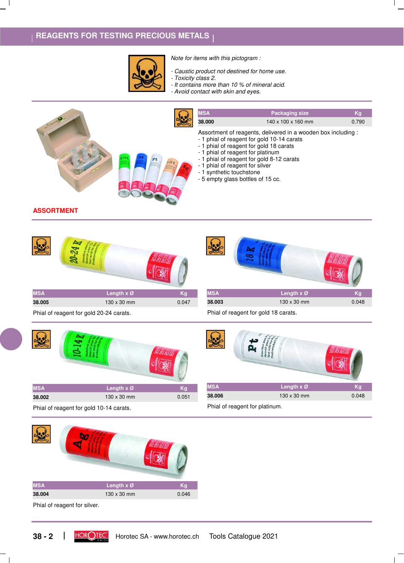## **REAGENTS FOR TESTING PRECIOUS METALS**



*Note for items with this pictogram :*

- *Caustic product not destined for home use. - Toxicity class 2.*
- *It contains more than 10 % of mineral acid.*
- *Avoid contact with skin and eyes.*



**ASSORTMENT**





Phial of reagent for gold 20-24 carats.





Phial of reagent for gold 18 carats.

Phial of reagent for platinum.

| <b>MSA</b> | Length $x \varnothing$ | Κa    |
|------------|------------------------|-------|
| 38.006     | $130 \times 30$ mm     | 0.048 |

Phial of reagent for gold 10-14 carats.

| <b>MSA</b> | Length x Ø  | Kg    |
|------------|-------------|-------|
| 38.004     | 130 x 30 mm | 0.046 |

Phial of reagent for silver.

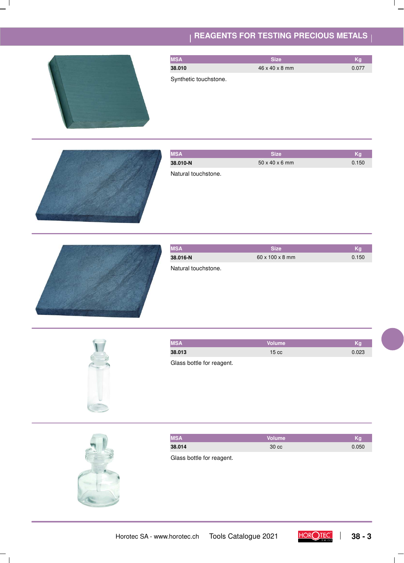## **REAGENTS FOR TESTING PRECIOUS METALS**





| <b>IMSA</b>         | <b>Size</b>                 | Κd    |
|---------------------|-----------------------------|-------|
| 38.016-N            | $60 \times 100 \times 8$ mm | 0.150 |
| Natural touchstone. |                             |       |



| <b>MSA</b> | l Volume '      | Κa    |
|------------|-----------------|-------|
| 38.013     | $15 \text{ cc}$ | 0.023 |

Glass bottle for reagent.



 $\perp$ 

| <b>MSA</b> | <b>Nolume</b>   | Kq    |
|------------|-----------------|-------|
| 38.014     | $30 \text{ cc}$ | 0.050 |
|            |                 |       |

Glass bottle for reagent.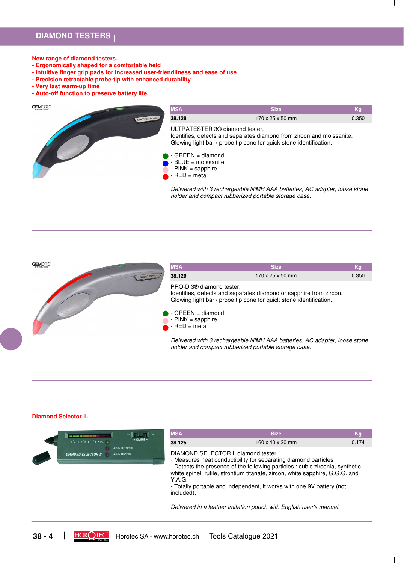### **DIAMOND TESTERS**

- **New range of diamond testers.**
- **Ergonomically shaped for a comfortable held**
- **Intuitive finger grip pads for increased user-friendliness and ease of use**
- **Precision retractable probe-tip with enhanced durability**
- **Very fast warm-up time**
- **Auto-off function to preserve battery life.**

GEMORO



*Delivered with 3 rechargeable NiMH AAA batteries, AC adapter, loose stone holder and compact rubberized portable storage case.*



#### **Diamond Selector II.**

| OFF<br>provided a series and compared to provide a series of the series<br>NOLUME →<br>$1^{\frac{1}{2} + \frac{1}{3} + \frac{1}{4} + \frac{1}{5} + \frac{1}{6} + \frac{1}{7} + \frac{1}{8}}$ PDIA | <b>MSA</b><br>38.125                                        | <b>Size</b><br>$160 \times 40 \times 20$ mm                                                                                                                                                                                                                                                                                                                                     | Kg<br>0.174 |
|---------------------------------------------------------------------------------------------------------------------------------------------------------------------------------------------------|-------------------------------------------------------------|---------------------------------------------------------------------------------------------------------------------------------------------------------------------------------------------------------------------------------------------------------------------------------------------------------------------------------------------------------------------------------|-------------|
| LAMP ON BATTERY OK<br><b>DIAMOND SELECTOR <math>I\!I</math> and <math>I</math></b> LAMP ON READY OK                                                                                               | DIAMOND SELECTOR II diamond tester.<br>Y.A.G.<br>included). | - Measures heat conductibility for separating diamond particles<br>- Detects the presence of the following particles : cubic zirconia, synthetic<br>white spinel, rutile, strontium titanate, zircon, white sapphire, G.G.G. and<br>- Totally portable and independent, it works with one 9V battery (not<br>Delivered in a leather imitation pouch with English user's manual. |             |

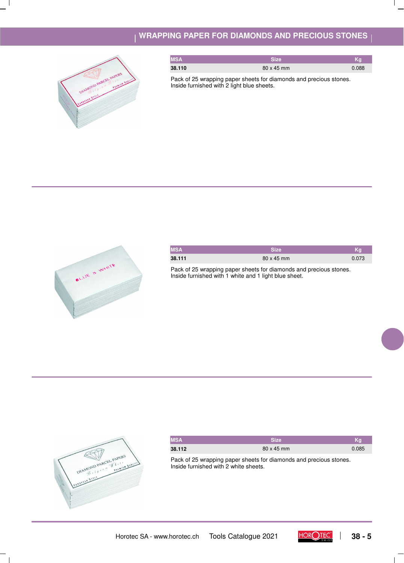### **WRAPPING PAPER FOR DIAMONDS AND PRECIOUS STONES**



| <b>MSA</b> | <b>Size</b>       | Κq    |
|------------|-------------------|-------|
| 38.110     | $80 \times 45$ mm | 0.088 |

Pack of 25 wrapping paper sheets for diamonds and precious stones. Inside furnished with 2 light blue sheets.



| <b>MSA</b> | <b>Size</b>       | Kg    |
|------------|-------------------|-------|
| 38.111     | $80 \times 45$ mm | 0.073 |

Pack of 25 wrapping paper sheets for diamonds and precious stones. Inside furnished with 1 white and 1 light blue sheet.



 $\mathbf{I}$ 

| <b>MSA</b> | Size              | Kg    |
|------------|-------------------|-------|
| 38.112     | $80 \times 45$ mm | 0.085 |

Pack of 25 wrapping paper sheets for diamonds and precious stones. Inside furnished with 2 white sheets.